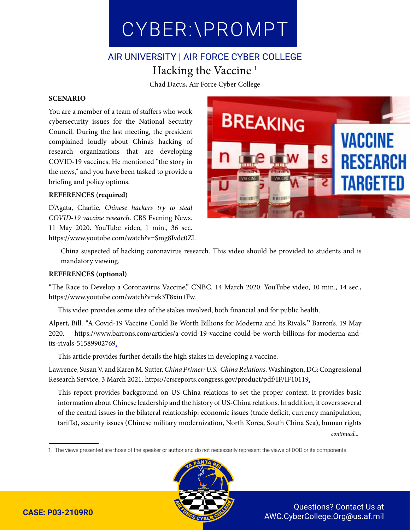CYBER:\PROMPT CYBER:\PROMPT

# AIR UNIVERSITY | AIR FORCE CYBER COLLEGE Hacking the Vaccine 1

Chad Dacus, Air Force Cyber College

#### **SCENARIO**

You are a member of a team of staffers who work cybersecurity issues for the National Security Council. During the last meeting, the president complained loudly about China's hacking of research organizations that are developing COVID-19 vaccines. He mentioned "the story in the news," and you have been tasked to provide a briefing and policy options.

#### **REFERENCES (required)**

D'Agata, Charlie. *Chinese hackers try to steal COVID-19 vaccine research*. CBS Evening News. 11 May 2020. YouTube video, 1 min., 36 sec. https://www.youtube.com/watch?v=Smg8Ivdc0ZI.



China suspected of hacking coronavirus research. This video should be provided to students and is mandatory viewing.

#### **REFERENCES (optional)**

"The Race to Develop a Coronavirus Vaccine," CNBC. 14 March 2020. YouTube video, 10 min., 14 sec., https://www.youtube.com/watch?v=ek3T8xiu1Fw.

This video provides some idea of the stakes involved, both financial and for public health.

Alpert, Bill. *"*A Covid-19 Vaccine Could Be Worth Billions for Moderna and Its Rivals*.***"** Barron's. 19 May 2020. https://www.barrons.com/articles/a-covid-19-vaccine-could-be-worth-billions-for-moderna-andits-rivals-51589902769.

This article provides further details the high stakes in developing a vaccine.

Lawrence, Susan V. and Karen M. Sutter. *China Primer: U.S.-China Relations*.Washington, DC: Congressional Research Service, 3 March 2021. https://crsreports.congress.gov/product/pdf/IF/IF10119.

This report provides background on US-China relations to set the proper context. It provides basic information about Chinese leadership and the history of US-China relations. In addition, it covers several of the central issues in the bilateral relationship: economic issues (trade deficit, currency manipulation, tariffs), security issues (Chinese military modernization, North Korea, South China Sea), human rights *continued...*

1. The views presented are those of the speaker or author and do not necessarily represent the views of DOD or its components.



Questions? Contact Us at AWC.CyberCollege.Org@us.af.mil